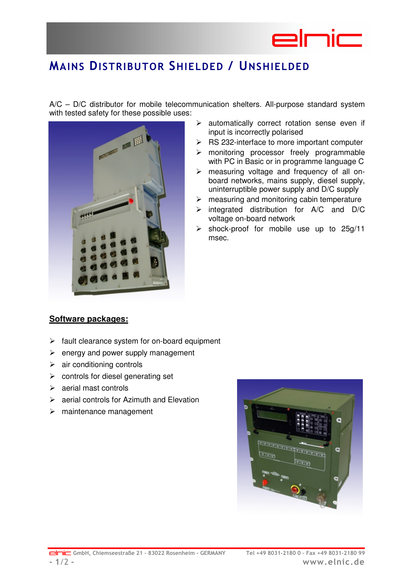

## MAINS DISTRIBUTOR SHIELDED / UNSHIELDED

A/C – D/C distributor for mobile telecommunication shelters. All-purpose standard system with tested safety for these possible uses:



- $\triangleright$  automatically correct rotation sense even if input is incorrectly polarised
- $\triangleright$  RS 232-interface to more important computer
- > monitoring processor freely programmable with PC in Basic or in programme language C
- > measuring voltage and frequency of all onboard networks, mains supply, diesel supply, uninterruptible power supply and D/C supply
- $\triangleright$  measuring and monitoring cabin temperature
- $\triangleright$  integrated distribution for A/C and D/C voltage on-board network
- $\triangleright$  shock-proof for mobile use up to 25g/11 msec.

#### **Software packages:**

- $\triangleright$  fault clearance system for on-board equipment
- $\triangleright$  energy and power supply management
- $\triangleright$  air conditioning controls
- $\triangleright$  controls for diesel generating set
- $\triangleright$  aerial mast controls
- $\triangleright$  aerial controls for Azimuth and Elevation
- $\triangleright$  maintenance management